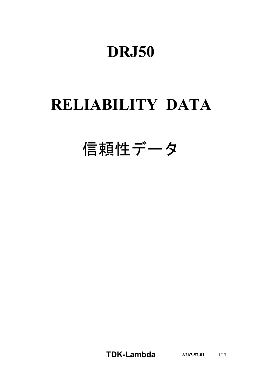# **DRJ50**

# **RELIABILITY DATA**

# 信頼性データ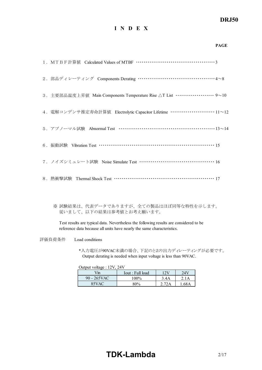# *DRJ50*

### **I N D E X**

|                                                                                 | <b>PAGE</b> |
|---------------------------------------------------------------------------------|-------------|
|                                                                                 |             |
| 2. 部品ディレーティング Components Derating ……………………………………4~8                             |             |
| 3. 主要部品温度上昇值 Main Components Temperature Rise △T List ···················· 9~10 |             |
| 4. 電解コンデンサ推定寿命計算値 Electrolytic Capacitor Lifetime ……………………… 11~12               |             |
| 5. アブノーマル試験 Abnormal Test …………………………………………………13~14                              |             |
| 6. 振動試験 Vibration Test …………………………………………………………… 15                               |             |
| 7. ノイズシミュレート試験 Noise Simulate Test ………………………………………… 16                          |             |
| 8. 熱衝擊試験 Thermal Shock Test ………………………………………………… 17                              |             |

※ 試験結果は、代表データでありますが、全ての製品はほぼ同等な特性を示します。 従いまして、以下の結果は参考値とお考え願います。

Test results are typical data. Nevertheless the following results are considered to be reference data because all units have nearly the same characteristics.

評価負荷条件 Load conditions

\*入力電圧が90VAC未満の場合、下記のとおり出力ディレーティングが必要です。 Output derating is needed when input voltage is less than 90VAC.

Output voltage : 12V, 24V

| $\frac{7}{1}$  | Iout : Full load | 12V  | 24V  |
|----------------|------------------|------|------|
| $90 - 265$ VAC | $100\%$          | 3.4A | 1А   |
| 85VAC          | $80\%$           |      | 68 A |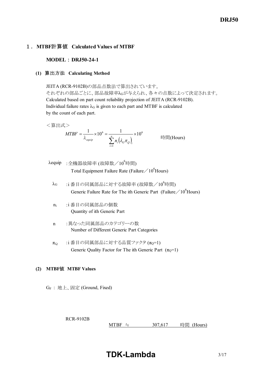## 1.**MTBF**計算値 **Calculated Values of MTBF**

**MODEL : DRJ50-24-1** 

#### **(1)** 算出方法 **Calculating Method**

JEITA (RCR-9102B)の部品点数法で算出されています。 それぞれの部品ごとに、部品故障率λGが与えられ、各々の点数によって決定されます。 Calculated based on part count reliability projection of JEITA (RCR-9102B). Individual failure rates  $\lambda$ G is given to each part and MTBF is calculated by the count of each part.

<算出式>

$$
MTBF = \frac{1}{\lambda_{\text{equiv}}} \times 10^6 = \frac{1}{\sum_{i=1}^n n_i (\lambda_{\text{G}} \pi_{\text{Q}})_i} \times 10^6
$$
 \n
$$
\text{Hg} \text{H} \text{H} \text{O} \text{u} \text{Hg}
$$

- $\lambda$ equip : 全機器故障率 (故障数/10<sup>6</sup>時間) Total Equipment Failure Rate (Failure  $/10^6$ Hours)
	- $\lambda$ G :i番目の同属部品に対する故障率 (故障数/ $10^6$ 時間) Generic Failure Rate for The ith Generic Part (Failure  $/10^6$  Hours)
	- n<sup>i</sup> :i 番目の同属部品の個数 Quantity of ith Generic Part
	- n :異なった同属部品のカテゴリーの数 Number of Different Generic Part Categories
	- $\pi_{\Omega}$  :i 番目の同属部品に対する品質ファクタ ( $\pi_{\Omega}$ =1) Generic Quality Factor for The ith Generic Part  $(\pi_0=1)$

#### **(2) MTBF**値 **MTBF Values**

GF : 地上、固定 (Ground, Fixed)

RCR-9102B

MTBF ≒  $307,617$  時間 (Hours)

**TDK-Lambda** 3/17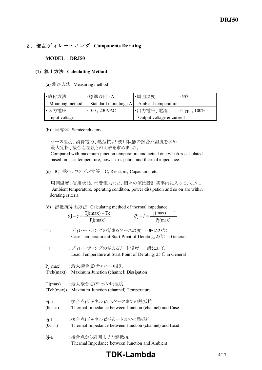## 2.部品ディレーティング **Components Derating**

#### **MODEL** : **DRJ50**

#### **(1)** 算出方法 **Calculating Method**

(a) 測定方法 Measuring method

| ・取付方法           | :標準取付 : A           | ・周囲温度                                     | :55°C           |
|-----------------|---------------------|-------------------------------------------|-----------------|
| Mounting method |                     | Standard mounting : A Ambient temperature |                 |
| ・入力電圧           | : $100$ , $230$ VAC | ・出力電圧、電流                                  | : Typ., $100\%$ |
| Input voltage   |                     | Output voltage $&$ current                |                 |

(b) 半導体 Semiconductors

ケース温度、消費電力、熱抵抗より使用状態の接合点温度を求め 最大定格、接合点温度との比較を求めました。

 Compared with maximum junction temperature and actual one which is calculated based on case temperature, power dissipation and thermal impedance.

(c) IC、抵抗、コンデンサ等 IC, Resistors, Capacitors, etc.

 周囲温度、使用状態、消費電力など、個々の値は設計基準内に入っています。 Ambient temperature, operating condition, power dissipation and so on are within derating criteria.

(d) 熱抵抗算出方法 Calculating method of thermal impedance

$$
\theta j - c = \frac{Tj(max) - Tc}{Pj(max)} \qquad \theta j - l = \frac{Tj(max) - Tl}{Pj(max)}
$$

| Tc | :ディレーティングの始まるケース温度 一般に25℃                                              |
|----|------------------------------------------------------------------------|
|    | Case Temperature at Start Point of Derating; $25^{\circ}$ C in General |

Tl :ディレーティングの始まるリード温度 一般に25℃ Lead Temperature at Start Point of Derating;25℃ in General

Pj(max) :最大接合点(チャネル)損失

(Pch(max)) Maximum Junction (channel) Dissipation

Tj(max) :最大接合点(チャネル)温度

(Tch(max)) Maximum Junction (channel) Temperature

θj-c :接合点(チャネル)からケースまでの熱抵抗 (θch-c) Thermal Impedance between Junction (channel) and Case

| $\theta$ j-l    | :接合点(チャネル)からリードまでの熱抵抗                                 |
|-----------------|-------------------------------------------------------|
| $(\theta$ ch-l) | Thermal Impedance between Junction (channel) and Lead |

```
θj-a :接合点から周囲までの熱抵抗
          Thermal Impedance between Junction and Ambient
```
# **TDK-Lambda**  $4/17$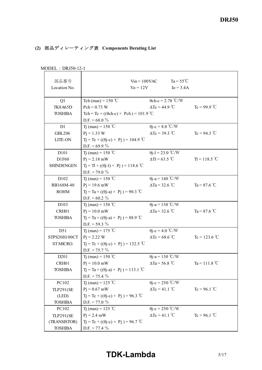# **(2)** 部品ディレーティング表 **Components Derating List**

| 部品番号              |                                                      | $V$ in = 100VAC             | $Ta = 55^{\circ}C$        |                       |
|-------------------|------------------------------------------------------|-----------------------------|---------------------------|-----------------------|
| Location No.      |                                                      | $\text{Vo} = 12\text{V}$    | $I_0 = 3.4A$              |                       |
|                   |                                                      |                             |                           |                       |
| Q1                | Tch (max) = $150^{\circ}$ C                          |                             | $\theta$ ch-c = 2.78 °C/W |                       |
| <b>TK8A65D</b>    | $Pch = 0.73 W$                                       | $\Delta Tc = 44.9$ °C       |                           | $Tc = 99.9$ °C        |
| <b>TOSHIBA</b>    | Tch = Tc + (( $\theta$ ch-c) × Pch) = 101.9 °C       |                             |                           |                       |
|                   | D.F. = $68.0\%$                                      |                             |                           |                       |
| D1                | Tj (max) = 150 °C                                    | $\theta$ j-c = 8.0 °C/W     |                           |                       |
| <b>GBL206</b>     | $Pi = 1.33$ W                                        | $\Delta Tc = 39.3$ °C       |                           | $Tc = 94.3$ °C        |
| LITE-ON           | $Tj = Tc + ((\theta j - c) \times Pj) = 104.9$ °C    |                             |                           |                       |
|                   | D.F. = 69.9 $%$                                      |                             |                           |                       |
| D <sub>10</sub> 1 | Tj (max) = 150 °C                                    | $\theta$ j-l = 23.0 °C/W    |                           |                       |
| D1F60             | $Pj = 2.18$ mW                                       | $\Delta T = 63.5$ °C        |                           | $T = 118.5 °C$        |
| <b>SHINDENGEN</b> | $T_1 = T_1 + ((\theta_1 - 1) \times P_1) = 118.6$ °C |                             |                           |                       |
|                   | D.F. = 79.0 $\%$                                     |                             |                           |                       |
| D102              | T <sub>1</sub> (max) = 150 °C                        | $\theta$ j-a = 140 °C/W     |                           |                       |
| RB168M-40         | $Pj = 19.6$ mW                                       | $\Delta$ Ta = 32.6 °C       |                           | Ta = $87.6^{\circ}$ C |
| <b>ROHM</b>       | $Tj = Ta + ((\theta j - a) \times Pj) = 90.3$ °C     |                             |                           |                       |
|                   | D.F. = $60.2 \%$                                     |                             |                           |                       |
| D103              | Tj (max) = 150 °C                                    | $\theta$ j-a = 130 °C/W     |                           |                       |
| CRH01             | $Pj = 10.0$ mW                                       | $\Delta$ Ta = 32.6 °C       |                           | Ta = $87.6^{\circ}$ C |
| <b>TOSHIBA</b>    | $Tj = Ta + ((\theta j - a) \times Pj) = 88.9$ °C     |                             |                           |                       |
|                   | D.F. = 59.3 $%$                                      |                             |                           |                       |
| D51               | T <sub>1</sub> (max) = 175 °C                        | $\theta$ j-c = 4.0 °C/W     |                           |                       |
| STPS20H100CT      | $Pj = 2.22 W$                                        | $\Delta Tc = 68.6$ °C       |                           | $Tc = 123.6 °C$       |
| ST MICRO.         | $Tj = Tc + ((\theta j - c) \times Pj) = 132.5$ °C    |                             |                           |                       |
|                   | $D.F. = 75.7 \%$                                     |                             |                           |                       |
| D <sub>201</sub>  | T <sub>1</sub> (max) = 150 °C                        | $\theta$ j-a = 130 °C/W     |                           |                       |
| CRH01             | $Pj = 10.0$ mW                                       | $\Delta$ Ta = 56.8 °C       |                           | Ta = 111.8 °C         |
| <b>TOSHIBA</b>    | $Tj = Ta + ((\theta j - a) \times Pj) = 113.1 °C$    |                             |                           |                       |
|                   | $D.F. = 75.4 \%$                                     |                             |                           |                       |
| PC102             | T <sub>1</sub> (max) = 125 °C                        | $\theta$ j-c = 250 °C/W     |                           |                       |
| <b>TLP291(SE</b>  | $Pj = 0.67$ mW                                       | $\Delta Tc = 41.1^{\circ}C$ |                           | $Tc = 96.1$ °C        |
| (LED)             | $Tj = Tc + ((\theta j - c) \times Pj) = 96.3$ °C     |                             |                           |                       |
| <b>TOSHIBA</b>    | $D.F. = 77.0 \%$                                     |                             |                           |                       |
| PC102             | T <sub>j</sub> (max) = 125 °C                        | $\theta$ j-c = 250 °C/W     |                           |                       |
| <b>TLP291(SE</b>  | $Pj = 2.4$ mW                                        | $\Delta Tc = 41.1^{\circ}C$ |                           | $Tc = 96.1^{\circ}C$  |
| (TRANSISTOR)      | $Tj = Tc + ((\theta j - c) \times Pj) = 96.7$ °C     |                             |                           |                       |
| <b>TOSHIBA</b>    | $D.F. = 77.4 \%$                                     |                             |                           |                       |

MODEL : DRJ50-12-1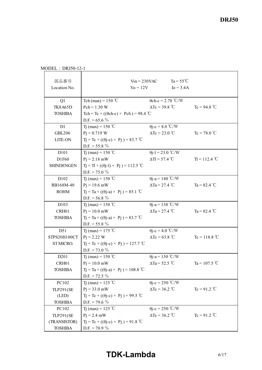MODEL : DRJ50-12-1

| 部品番号<br>Location No. | $V_0 = 12V$                                       | $Ta = 55^{\circ}C$<br>$V$ in = 230VAC<br>$I_0 = 3.4A$ |                 |
|----------------------|---------------------------------------------------|-------------------------------------------------------|-----------------|
| Q1                   | Tch (max) = $150^{\circ}$ C                       | $\theta$ ch-c = 2.78 °C/W                             |                 |
| <b>TK8A65D</b>       | $Pch = 1.30 W$                                    | $\Delta Tc = 39.8 °C$                                 | $Tc = 94.8 °C$  |
| <b>TOSHIBA</b>       | Tch = Tc + (( $\theta$ ch-c) × Pch) = 98.4 °C     |                                                       |                 |
|                      | D.F. = $65.6\%$                                   |                                                       |                 |
| D1                   | T <sub>j</sub> (max) = 150 °C                     | $\theta$ j-c = 8.0 °C/W                               |                 |
| <b>GBL206</b>        | $Pj = 0.719$ W                                    | $\Delta Tc = 23.0 °C$                                 | $Tc = 78.0 °C$  |
| LITE-ON              | $Tj = Tc + ((\theta j - c) \times Pj) = 83.7$ °C  |                                                       |                 |
|                      | $D.F. = 55.8 \%$                                  |                                                       |                 |
| D101                 | T <sub>j</sub> (max) = 150 °C                     | $\theta$ j-l = 23.0 °C/W                              |                 |
| D1F60                | $Pj = 2.18$ mW                                    | $\Delta T = 57.4$ °C                                  | $T = 112.4 °C$  |
| <b>SHINDENGEN</b>    | $Tj = Tl + ((\theta j - l) \times Pj) = 112.5$ °C |                                                       |                 |
|                      | $D.F. = 75.0 \%$                                  |                                                       |                 |
| D102                 | T <sub>1</sub> (max) = 150 °C                     | $\theta$ j-a = 140 °C/W                               |                 |
| RB168M-40            | $Pj = 19.6$ mW                                    | $\Delta$ Ta = 27.4 °C                                 | Ta = $82.4$ °C  |
| <b>ROHM</b>          | $Tj = Ta + ((\theta j - a) \times Pj) = 85.1$ °C  |                                                       |                 |
|                      | D.F. = $56.8\%$                                   |                                                       |                 |
| D <sub>103</sub>     | Tj (max) = 150 °C                                 | $\theta$ j-a = 130 °C/W                               |                 |
| CRH01                | $Pj = 10.0$ mW                                    | $\Delta$ Ta = 27.4 °C                                 | Ta = $82.4$ °C  |
| <b>TOSHIBA</b>       | $Tj = Ta + ((\theta j - a) \times Pj) = 83.7$ °C  |                                                       |                 |
|                      | $D.F. = 55.8 \%$                                  |                                                       |                 |
| D51                  | Tj (max) = 175 °C                                 | $\theta$ j-c = 4.0 °C/W                               |                 |
| STPS20H100CT         | $Pi = 2.22$ W                                     | $\Delta$ Tc = 63.8 °C                                 | $Tc = 118.8 °C$ |
| ST MICRO.            | $Tj = Tc + ((\theta j - c) \times Pj) = 127.7$ °C |                                                       |                 |
|                      | D.F. = $73.0\%$                                   |                                                       |                 |
| D <sub>201</sub>     | T <sub>j</sub> (max) = 150 °C                     | $\theta$ j-a = 130 °C/W                               |                 |
| CRH01                | $Pj = 10.0$ mW                                    | $\Delta$ Ta = 52.5 °C                                 | Ta = 107.5 °C   |
| <b>TOSHIBA</b>       | $Tj = Ta + ((\theta j - a) \times Pj) = 108.8 °C$ |                                                       |                 |
|                      | $D.F. = 72.5 \%$                                  |                                                       |                 |
| PC102                | T <sub>j</sub> (max) = 125 °C                     | $\theta$ j-c = 250 °C/W                               |                 |
| TLP291(SE            | $Pj = 33.0$ mW                                    | $\Delta Tc = 36.2$ °C                                 | $Tc = 91.2 °C$  |
| (LED)                | $Tj = Tc + ((\theta j - c) \times Pj) = 99.5$ °C  |                                                       |                 |
| <b>TOSHIBA</b>       | D.F. = 79.6 $\%$                                  |                                                       |                 |
| PC102                | Tj (max) = 125 °C                                 | $\theta$ j-c = 250 °C/W                               |                 |
| <b>TLP291(SE</b>     | $Pj = 2.4$ mW                                     | $\Delta Tc = 36.2$ °C                                 | $Tc = 91.2$ °C  |
| (TRANSISTOR)         | $Tj = Tc + ((\theta j - c) \times Pj) = 91.8$ °C  |                                                       |                 |
| <b>TOSHIBA</b>       | $D.F. = 70.9 \%$                                  |                                                       |                 |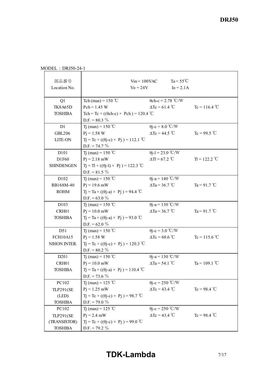MODEL : DRJ50-24-1

| 部品番号<br>Location No. | $\mathrm{Vo} = 24\mathrm{V}$                      | $V$ in = 100VAC               | $Ta = 55^{\circ}C$<br>$I_0 = 2.1A$ |                 |
|----------------------|---------------------------------------------------|-------------------------------|------------------------------------|-----------------|
| Q1                   | Tch (max) = $150^{\circ}$ C                       | $\theta$ ch-c = 2.78 °C/W     |                                    |                 |
| <b>TK8A65D</b>       | $Pch = 1.45 W$                                    | $\Delta Tc = 61.4$ °C         |                                    | $Tc = 116.4 °C$ |
| <b>TOSHIBA</b>       | Tch = Tc + (( $\theta$ ch-c) × Pch) = 120.4 °C    |                               |                                    |                 |
|                      | D.F. = $80.3\%$                                   |                               |                                    |                 |
| D1                   | Tj (max) = 150 °C                                 | $\theta$ j-c = 8.0 °C/W       |                                    |                 |
| <b>GBL206</b>        | $Pi = 1.58 W$                                     | $\Delta$ Tc = 44.5 °C         |                                    | Tc = 99.5 °C    |
| LITE-ON              | $Tj = Tc + ((\theta j - c) \times Pj) = 112.1$ °C |                               |                                    |                 |
|                      | $D.F. = 74.7 \%$                                  |                               |                                    |                 |
| D <sub>10</sub> 1    | Tj (max) = $150 °C$                               | $\theta$ j-l = 23.0 °C/W      |                                    |                 |
| D1F60                | $Pj = 2.18$ mW                                    | $\Delta T = 67.2$ °C          |                                    | $T = 122.2 °C$  |
| <b>SHINDENGEN</b>    | $Tj = Tl + ((\theta j - l) \times Pj) = 122.3$ °C |                               |                                    |                 |
|                      | D.F. = $81.5\%$                                   |                               |                                    |                 |
| D102                 | Tj (max) = $150 °C$                               | $\theta$ j-a = 140 °C/W       |                                    |                 |
| RB168M-40            | $Pj = 19.6$ mW                                    | $\Delta$ Ta = 36.7 °C         |                                    | Ta = 91.7 °C    |
| <b>ROHM</b>          | $T_1 = Ta + ((\theta - a) \times P_1) = 94.4$ °C  |                               |                                    |                 |
|                      | D.F. = $63.0\%$                                   |                               |                                    |                 |
| D <sub>103</sub>     | T <sub>1</sub> (max) = 150 °C                     | $\theta$ j-a = 130 °C/W       |                                    |                 |
| CRH01                | $Pj = 10.0$ mW                                    | $\Delta$ Ta = 36.7 °C         |                                    | Ta = 91.7 °C    |
| <b>TOSHIBA</b>       | $Tj = Ta + ((\theta j - a) \times Pj) = 93.0$ °C  |                               |                                    |                 |
|                      | D.F. = $62.0\%$                                   |                               |                                    |                 |
| D51                  | Tj (max) = 150 °C                                 | $\theta$ j-c = 3.0 °C/W       |                                    |                 |
| <b>FCH10A15</b>      | $Pi = 1.58 W$                                     | $\Delta$ Tc = 60.6 °C         |                                    | $Tc = 115.6 °C$ |
| NIHON INTER.         | $Tj = Tc + ((\theta j - c) \times Pj) = 120.3$ °C |                               |                                    |                 |
|                      | D.F. = $80.2 \%$                                  |                               |                                    |                 |
| D <sub>201</sub>     | Tj (max) = 150 °C                                 | $\theta$ j-a = 130 °C/W       |                                    |                 |
| CRH01                | $Pj = 10.0$ mW                                    | $\Delta$ Ta = 54.1 °C         |                                    | Ta = 109.1 °C   |
| <b>TOSHIBA</b>       | $Tj = Ta + ((\theta j - a) \times Pj) = 110.4 °C$ |                               |                                    |                 |
|                      | D.F. = 73.6 $%$                                   |                               |                                    |                 |
| PC102                | Tj (max) = 125 °C                                 | $\theta$ j-c = 250 °C/W       |                                    |                 |
| <b>TLP291(SE</b>     | $P_1 = 1.25$ mW                                   | $\Delta Tc = 43.4$ °C         |                                    | $Tc = 98.4 °C$  |
| (LED)                | $Tj = Tc + ((\theta j - c) \times Pj) = 98.7$ °C  |                               |                                    |                 |
| <b>TOSHIBA</b>       | $D.F. = 79.0 \%$                                  |                               |                                    |                 |
| PC102                | T <sub>1</sub> (max) = 125 °C                     | $\theta$ j-c = 250 °C/W       |                                    |                 |
| <b>TLP291(SE</b>     | $Pj = 2.4$ mW                                     | $\Delta Tc = 43.4 \text{ °C}$ |                                    | $Tc = 98.4 °C$  |
| (TRANSISTOR)         | $Tj = Tc + ((\theta j - c) \times Pj) = 99.0$ °C  |                               |                                    |                 |
| <b>TOSHIBA</b>       | $D.F. = 79.2 \%$                                  |                               |                                    |                 |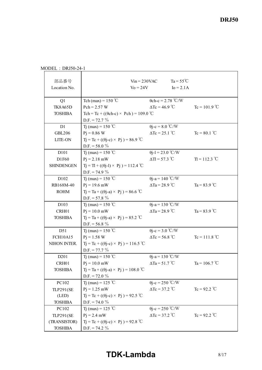MODEL : DRJ50-24-1

| 部品番号<br>Location No. | $\text{Vo} = 24\text{V}$                            | $V_{1n} = 230$ VAC          | $Ta = 55^{\circ}C$<br>$Io = 2.1A$ |                        |  |  |
|----------------------|-----------------------------------------------------|-----------------------------|-----------------------------------|------------------------|--|--|
|                      |                                                     |                             |                                   |                        |  |  |
| Q1                   | Tch (max) = $150^{\circ}$ C                         | $\theta$ ch-c = 2.78 °C/W   |                                   |                        |  |  |
| <b>TK8A65D</b>       | $Pch = 2.57 W$                                      | $\Delta Tc = 46.9$ °C       |                                   | $Tc = 101.9$ °C        |  |  |
| <b>TOSHIBA</b>       | Tch = Tc + (( $\theta$ ch-c) × Pch) = 109.0 °C      |                             |                                   |                        |  |  |
|                      | $D.F. = 72.7 \%$                                    |                             |                                   |                        |  |  |
| D1                   | T <sub>j</sub> (max) = 150 °C                       | $\theta$ j-c = 8.0 °C/W     |                                   |                        |  |  |
| <b>GBL206</b>        | $P_1 = 0.86$ W                                      | $\Delta Tc = 25.1^{\circ}C$ |                                   | $Tc = 80.1$ °C         |  |  |
| LITE-ON              | $Tj = Tc + ((\theta j - c) \times Pj) = 86.9$ °C    |                             |                                   |                        |  |  |
|                      | D.F. = 58.0 $\%$                                    |                             |                                   |                        |  |  |
| D101                 | Tj (max) = 150 °C                                   | $\theta$ j-l = 23.0 °C/W    |                                   |                        |  |  |
| D1F60                | $Pj = 2.18$ mW                                      | $\Delta T = 57.3$ °C        |                                   | $T = 112.3 °C$         |  |  |
| <b>SHINDENGEN</b>    | $Tj = Tl + ((\theta j-l) \times Pj) = 112.4$ °C     |                             |                                   |                        |  |  |
|                      | D.F. = 74.9 $\%$                                    |                             |                                   |                        |  |  |
| D102                 | T <sub>1</sub> (max) = 150 °C                       | $\theta$ j-a = 140 °C/W     |                                   |                        |  |  |
| RB168M-40            | $Pj = 19.6$ mW                                      | $\Delta$ Ta = 28.9 °C       |                                   | Ta = $83.9$ °C         |  |  |
| <b>ROHM</b>          | $Tj = Ta + ((\theta j - a) \times Pj) = 86.6 °C$    |                             |                                   |                        |  |  |
|                      | D.F. = $57.8 \%$                                    |                             |                                   |                        |  |  |
| D103                 | Tj (max) = 150 °C                                   | $\theta$ j-a = 130 °C/W     |                                   |                        |  |  |
| CRH01                | $P_1 = 10.0$ mW                                     | $\Delta$ Ta = 28.9 °C       |                                   | Ta = $83.9$ °C         |  |  |
| <b>TOSHIBA</b>       | $Tj = Ta + ((\theta j - a) \times Pj) = 85.2 °C$    |                             |                                   |                        |  |  |
|                      | D.F. = $56.8\%$                                     |                             |                                   |                        |  |  |
| D51                  | Tj (max) = 150 °C                                   | $\theta$ j-c = 3.0 °C/W     |                                   |                        |  |  |
| <b>FCH10A15</b>      | $Pi = 1.58 W$                                       | $\Delta$ Tc = 56.8 °C       |                                   | $Tc = 111.8 °C$        |  |  |
| NIHON INTER.         | $Tj = Tc + ((\theta j - c) \times Pj) = 116.5 °C$   |                             |                                   |                        |  |  |
|                      | $D.F. = 77.7 \%$                                    |                             |                                   |                        |  |  |
| D <sub>201</sub>     | T <sub>j</sub> (max) = 150 °C                       | $\theta$ j-a = 130 °C/W     |                                   |                        |  |  |
| CRH01                | $P_1 = 10.0$ mW                                     | $\Delta$ Ta = 51.7 °C       |                                   | Ta = $106.7^{\circ}$ C |  |  |
| <b>TOSHIBA</b>       | $Tj = Ta + ((\theta j - a) \times Pj) = 108.0 °C$   |                             |                                   |                        |  |  |
|                      | $D.F. = 72.0 \%$                                    |                             |                                   |                        |  |  |
| PC102                | T <sub>1</sub> (max) = 125 °C                       | $\theta$ j-c = 250 °C/W     |                                   |                        |  |  |
| <b>TLP291(SE</b>     | $Pj = 1.25$ mW                                      | $\Delta Tc = 37.2$ °C       |                                   | $Tc = 92.2$ °C         |  |  |
| (LED)                | $T_1 = T_c + ((\theta i - c) \times P_1) = 92.5$ °C |                             |                                   |                        |  |  |
| <b>TOSHIBA</b>       | $D.F. = 74.0 \%$                                    |                             |                                   |                        |  |  |
| PC102                | Tj (max) = 125 °C                                   | $\theta$ j-c = 250 °C/W     |                                   |                        |  |  |
| <b>TLP291(SE</b>     | $Pj = 2.4$ mW                                       | $\Delta Tc = 37.2$ °C       |                                   | $Tc = 92.2$ °C         |  |  |
| (TRANSISTOR)         | $Tj = Tc + ((\theta j - c) \times Pj) = 92.8$ °C    |                             |                                   |                        |  |  |
| <b>TOSHIBA</b>       | $D.F. = 74.2 \%$                                    |                             |                                   |                        |  |  |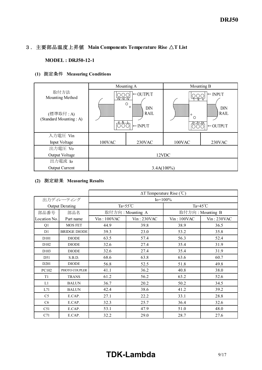# 3.主要部品温度上昇値 **Main Components Temperature Rise** △**T List**

#### **MODEL : DRJ50-12-1**

## **(1)** 測定条件 **Measuring Conditions**

|                                                               |                                                                                                                                       | Mounting A | Mounting B                                                                                           |        |  |
|---------------------------------------------------------------|---------------------------------------------------------------------------------------------------------------------------------------|------------|------------------------------------------------------------------------------------------------------|--------|--|
| 取付方法<br>Mounting Method<br>(標準取付:A)<br>(Standard Mounting: A) | $\leftarrow$ OUTPUT<br>$\overline{v}$ $\overline{v}$ $\overline{v}$<br>$\circ$<br>$\circ$<br>DIN<br><b>RAIL</b><br>$\leftarrow$ INPUT |            | $\vdash$ INPUT<br>DIN<br><b>RAIL</b><br>$\circ$<br>888888<br>Ω<br><u>AAA+</u><br>$\leftarrow$ OUTPUT |        |  |
|                                                               |                                                                                                                                       |            |                                                                                                      |        |  |
| 入力電圧 Vin                                                      |                                                                                                                                       |            |                                                                                                      |        |  |
| Input Voltage                                                 | 100VAC                                                                                                                                | 230VAC     | 100VAC                                                                                               | 230VAC |  |
| 出力電圧 Vo                                                       |                                                                                                                                       |            |                                                                                                      |        |  |
| Output Voltage                                                | 12VDC                                                                                                                                 |            |                                                                                                      |        |  |
| 出力電流 Io                                                       |                                                                                                                                       |            |                                                                                                      |        |  |
| <b>Output Current</b>                                         | $3.4A(100\%)$                                                                                                                         |            |                                                                                                      |        |  |

### **(2)** 測定結果 **Measuring Results**

|                  |                        | $\Delta T$ Temperature Rise (°C) |                  |             |                    |
|------------------|------------------------|----------------------------------|------------------|-------------|--------------------|
| 出力ディレーティング       |                        | $Io = 100\%$                     |                  |             |                    |
|                  | <b>Output Derating</b> | Ta= $55^{\circ}$ C               |                  |             | Ta= $45^{\circ}$ C |
| 部品番号             | 部品名                    |                                  | 取付方向: Mounting A |             | 取付方向: Mounting B   |
| Location No.     | Part name              | $Vin$ : 100VAC                   | $Vin: 230$ VAC   | Vin: 100VAC | Vin: 230VAC        |
| Q1               | <b>MOS FET</b>         | 44.9                             | 39.8             | 38.9        | 36.5               |
| D <sub>1</sub>   | <b>BRIDGE DIODE</b>    | 39.3                             | 23.0             | 53.2        | 35.8               |
| D <sub>101</sub> | <b>DIODE</b>           | 63.5                             | 57.4             | 56.3        | 52.4               |
| D102             | <b>DIODE</b>           | 32.6                             | 27.4             | 35.4        | 31.9               |
| D <sub>103</sub> | <b>DIODE</b>           | 32.6                             | 27.4             | 35.4        | 31.9               |
| D51              | S.B.D.                 | 68.6                             | 63.8             | 63.6        | 60.7               |
| D <sub>201</sub> | <b>DIODE</b>           | 56.8                             | 52.5             | 51.8        | 49.8               |
| PC102            | PHOTO COUPLER          | 41.1                             | 36.2             | 40.8        | 38.0               |
| T <sub>1</sub>   | <b>TRANS</b>           | 61.2                             | 56.2             | 63.2        | 52.6               |
| L1               | <b>BALUN</b>           | 36.7                             | 20.2             | 50.2        | 34.5               |
| L71              | <b>BALUN</b>           | 42.4                             | 38.6             | 41.2        | 39.2               |
| C <sub>5</sub>   | E.CAP.                 | 27.1                             | 22.2             | 33.1        | 28.8               |
| C <sub>6</sub>   | E.CAP.                 | 32.3                             | 25.7             | 36.4        | 32.6               |
| C51              | E.CAP.                 | 53.1                             | 47.9             | 51.0        | 48.0               |
| C71              | E.CAP.                 | 32.2                             | 29.0             | 28.7        | 27.6               |

# **TDK-Lambda** 9/17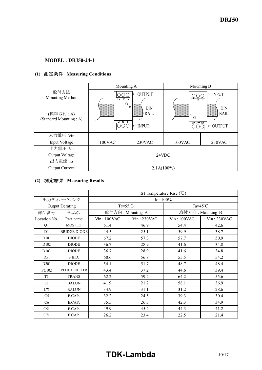## **MODEL : DRJ50-24-1**

## **(1)** 測定条件 **Measuring Conditions**

|                                                                |                                                                                                                          | Mounting A | Mounting B                                                                                |        |  |
|----------------------------------------------------------------|--------------------------------------------------------------------------------------------------------------------------|------------|-------------------------------------------------------------------------------------------|--------|--|
| 取付方法<br>Mounting Method<br>(標準取付: A)<br>(Standard Mounting: A) | $\leftarrow$ OUTPUT<br>$\overline{+V}$ $-\overline{V}$<br>$\circ$<br>$\circ$<br>DIN<br><b>RAIL</b><br>$\leftarrow$ INPUT |            | $\vdash$ INPUT<br>DIN<br><b>RAIL</b><br>$\circ$<br><br>Ω<br>Y Y Y+<br>$\leftarrow$ OUTPUT |        |  |
| 入力電圧 Vin                                                       |                                                                                                                          |            |                                                                                           |        |  |
| Input Voltage                                                  | 100VAC                                                                                                                   | 230VAC     | 100VAC                                                                                    | 230VAC |  |
| 出力電圧 Vo                                                        |                                                                                                                          |            |                                                                                           |        |  |
| Output Voltage                                                 | 24VDC                                                                                                                    |            |                                                                                           |        |  |
| 出力電流 Io                                                        |                                                                                                                          |            |                                                                                           |        |  |
| <b>Output Current</b>                                          | $2.1A(100\%)$                                                                                                            |            |                                                                                           |        |  |

### **(2)** 測定結果 **Measuring Results**

|                        |                     | $\Delta T$ Temperature Rise (°C) |                  |                    |             |  |  |  |  |  |  |  |
|------------------------|---------------------|----------------------------------|------------------|--------------------|-------------|--|--|--|--|--|--|--|
|                        | 出力ディレーティング          | $I_0 = 100\%$                    |                  |                    |             |  |  |  |  |  |  |  |
| <b>Output Derating</b> |                     | Ta= $55^{\circ}$ C               |                  | Ta= $45^{\circ}$ C |             |  |  |  |  |  |  |  |
| 部品番号                   | 部品名                 |                                  | 取付方向: Mounting A | 取付方向: Mounting B   |             |  |  |  |  |  |  |  |
| Location No.           | Part name           | $Vin$ : 100VAC                   | $Vin: 230$ VAC   | Vin: 100VAC        | Vin: 230VAC |  |  |  |  |  |  |  |
| Q1                     | <b>MOS FET</b>      | 61.4                             | 46.9             | 54.4               | 42.6        |  |  |  |  |  |  |  |
| D1                     | <b>BRIDGE DIODE</b> | 44.5                             | 25.1             | 59.9               | 38.7        |  |  |  |  |  |  |  |
| D101                   | <b>DIODE</b>        | 67.2                             | 57.3             | 57.7               | 50.9        |  |  |  |  |  |  |  |
| D102                   | <b>DIODE</b>        | 36.7                             | 28.9             | 41.6               | 34.8        |  |  |  |  |  |  |  |
| D <sub>103</sub>       | <b>DIODE</b>        | 36.7                             | 28.9             | 41.6               | 34.8        |  |  |  |  |  |  |  |
| D <sub>51</sub>        | S.B.D.              | 60.6                             | 56.8             | 55.5               | 54.2        |  |  |  |  |  |  |  |
| D <sub>201</sub>       | <b>DIODE</b>        | 54.1                             | 51.7             | 48.7               | 48.4        |  |  |  |  |  |  |  |
| PC102                  | PHOTO COUPLER       | 43.4                             | 37.2             | 44.6               | 39.4        |  |  |  |  |  |  |  |
| T1                     | <b>TRANS</b>        | 62.2                             | 59.2             | 64.2               | 55.6        |  |  |  |  |  |  |  |
| L1                     | <b>BALUN</b>        | 41.9                             | 21.2             | 58.1               | 36.9        |  |  |  |  |  |  |  |
| L71                    | <b>BALUN</b>        | 34.9                             | 31.1             | 31.2               | 28.6        |  |  |  |  |  |  |  |
| C <sub>5</sub>         | E.CAP.              | 32.2                             | 24.5             | 39.3               | 30.4        |  |  |  |  |  |  |  |
| C6                     | E.CAP.              | 35.5                             | 26.3             | 42.3               | 34.9        |  |  |  |  |  |  |  |
| C51                    | E.CAP.              | 49.9                             | 45.2             | 44.3               | 41.2        |  |  |  |  |  |  |  |
| C71                    | E.CAP.              | 26.2                             | 23.4             | 22.5               | 21.4        |  |  |  |  |  |  |  |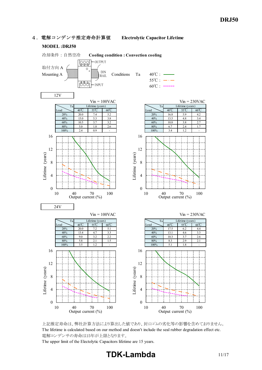#### 4.電解コンデンサ推定寿命計算値 **Electrolytic Capacitor Lifetime**

#### **MODEL :DRJ50**

#### 冷却条件 : 自然空冷 **Cooling condition : Convection cooling** OUTPUT <u>loool</u> 取付方向 A  $\circ$ Mounting A  $\sum_{\text{RAL}}$  Conditions Ta 40℃ : - $55^{\circ}$ C :  $-\cdot$  - $\frac{1}{\sqrt{2}}$ - INPUT  $60^{\circ}$ C : ------12V  $V$ in = 100VAC<br>
Etime (years)  $V$ in = 230VAC<br>
Ta Lifetime (years) Ta Lifetime (years) and Lifetime (years) and Lifetime (years) Load  $\bigcup$  40°C 55°C 60°C  $\bigcup$  60°C  $\bigcup$  Load  $\bigcup$  40°C 55°C 60°C 20% 20.0 7.4 5.2 20% 16.8 5.9 4.2 40% 15.0 5.3 3.8 40% 13.5 4.8 3.4 60% 10.5 3.7 3.2 60% 10.8 3.8 2.7 80% 5.0 1.8 2.6 80% 6.7 2.4 1.7 100% 2.4 0.9 - 100% 3.4 1.2 -16 16 12 12 Lifetime (years) Lifetime (years) Lifetime (years) Lifetime (years) 8 8 4 4 0 0 10 40 70 100<br>Output current (%) 10 40 70 100<br>Output current (%) 24V  $Vin = 100VAC$   $Vin = 230VAC$ Ta Lifetime (years) and Lifetime (years) and Lifetime (years) Load  $40^{\circ}\text{C}$  55°C 60°C Load  $40^{\circ}\text{C}$  55°C 60°C 20% 20.0 7.2 5.1 20% 17.5 6.2 4.4 40% 13.4 4.7 3.3 40% 13.1 4.6 3.3 60% 9.0 3.2 2.2 60% 10.3 3.7 2.6 80% 5.8 2.1 1.5 80% 8.3 2.9 2.1 100% 3.5 1.2 - 100% 5.1 1.8 -16 16 12 12 Lifetime (years) Lifetime (years) Lifetime (years) Lifetime (years) 8 8 4 4  $\theta$  $\theta$ 10 40 70 100 10 40 70 100



Output current (%)

The upper limit of the Electolytic Capacitors lifetime are 15 years.

Output current (%)

# **TDK-Lambda** 11/17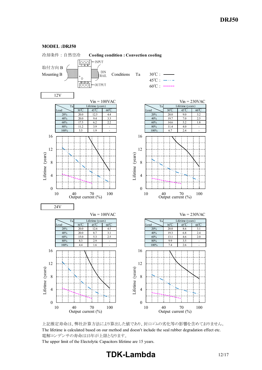#### **MODEL :DRJ50**





The upper limit of the Electolytic Capacitors lifetime are 15 years.

# **TDK-Lambda** 12/17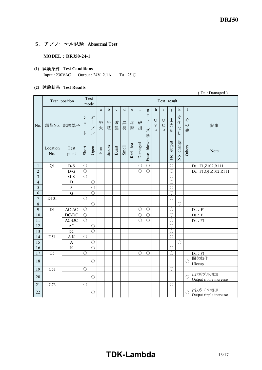#### 5.アブノーマル試験 **Abnormal Test**

**MODEL** : DRJ50-24-1

#### **(1)** 試験条件 **Test Conditions**

Input :  $230\text{VAC}$  Output :  $24\text{V}$ ,  $2.1\text{A}$  Ta :  $25\text{°C}$ 

#### **(2)** 試験結果 **Test Results**

|                         | (Da: Damaged)   |                      |                            |                                                      |              |             |             |         |              |             |                                                                         |                                                         |                                             |             |                               |                         |                                   |
|-------------------------|-----------------|----------------------|----------------------------|------------------------------------------------------|--------------|-------------|-------------|---------|--------------|-------------|-------------------------------------------------------------------------|---------------------------------------------------------|---------------------------------------------|-------------|-------------------------------|-------------------------|-----------------------------------|
|                         |                 | Test position        |                            | Test<br>mode                                         |              |             |             |         |              |             |                                                                         |                                                         | Test result                                 |             |                               |                         |                                   |
|                         |                 |                      |                            |                                                      | $\mathbf{a}$ | $\mathbf b$ | $\mathbf c$ | $\rm d$ | $\mathbf{e}$ | $\mathbf f$ | $\mathbf{g}$                                                            | $\mathbf h$                                             | $\mathbf{i}$                                |             | $\mathbf k$                   | $\mathbf{1}$            |                                   |
| No.                     | 部品No.           | 試験端子                 | シ<br>$\exists$<br>$\vdash$ | 才<br>$\overline{1}$<br>プ<br>$\overline{\phantom{a}}$ | 発<br>火       | 発<br>煙      | 破<br>裂      | 異<br>臭  | 赤<br>熱       | 破<br>損      | Ł<br>$\ensuremath{\mathrel{\mathop{\mathbf{I}}}}$<br>$\Big\}$<br>ズ<br>断 | $\bigcirc$<br>$\overline{\mathrm{V}}$<br>$\overline{P}$ | $\bigcirc$<br>$\mathcal{C}$<br>$\mathbf{P}$ | 出<br>力<br>断 | 変<br>化<br>$\vec{z}$<br>$\cup$ | そ<br>$\mathcal{D}$<br>他 | 記事                                |
|                         | Location<br>No. | Test<br>point        | Short                      | Open                                                 | Fire         | Smoke       | Burst       | Smell   | Red hot      | Damaged     | Fuse blown                                                              |                                                         |                                             | No output   | change<br>$\frac{1}{2}$       | Others                  | Note                              |
| 1                       | Q1              | $D-S$                | $\bigcirc$                 |                                                      |              |             |             |         |              | $\bigcirc$  | $\bigcirc$                                                              |                                                         |                                             | $\bigcirc$  |                               |                         | Da: F1,Z102,R111                  |
| $\overline{2}$          |                 | $D-G$                | $\bigcirc$                 |                                                      |              |             |             |         |              | $\bigcirc$  | $\bigcirc$                                                              |                                                         |                                             | $\bigcirc$  |                               |                         | Da: F1,Q1,Z102,R111               |
| $\overline{\mathbf{3}}$ |                 | $G-S$                | $\bigcirc$                 |                                                      |              |             |             |         |              |             |                                                                         |                                                         |                                             | $\bigcirc$  |                               |                         |                                   |
| $\overline{4}$          |                 | $\mathbf D$          |                            | ∩                                                    |              |             |             |         |              |             |                                                                         |                                                         |                                             | $\bigcirc$  |                               |                         |                                   |
| $\overline{\mathbf{5}}$ |                 | $\mathbf S$          |                            | ∩                                                    |              |             |             |         |              |             |                                                                         |                                                         |                                             | $\bigcirc$  |                               |                         |                                   |
| $\overline{6}$          |                 | ${\bf G}$            |                            | $\bigcirc$                                           |              |             |             |         |              |             |                                                                         |                                                         |                                             | $\bigcirc$  |                               |                         |                                   |
| $\boldsymbol{7}$        | D101            |                      | $\bigcirc$                 |                                                      |              |             |             |         |              |             |                                                                         |                                                         |                                             | $\bigcirc$  |                               |                         |                                   |
| $\,8\,$                 |                 |                      |                            | $\bigcirc$                                           |              |             |             |         |              |             |                                                                         |                                                         |                                             |             | $\bigcirc$                    |                         |                                   |
| 9                       | D1              | $\mbox{{\sc AC}-AC}$ | $\bigcirc$                 |                                                      |              |             |             |         |              | $\bigcirc$  | $\bigcirc$                                                              |                                                         |                                             | $\bigcirc$  |                               |                         | Da : F1                           |
| 10                      |                 | $DC-DC$              | $\bigcirc$                 |                                                      |              |             |             |         |              | $\bigcirc$  | $\bigcirc$                                                              |                                                         |                                             | $\bigcirc$  |                               |                         | Da : F1                           |
| 11                      |                 | AC-DC                | $\bigcirc$                 |                                                      |              |             |             |         |              | $\bigcirc$  | $\bigcirc$                                                              |                                                         |                                             | $\bigcirc$  |                               |                         | Da : F1                           |
| $\overline{12}$         |                 | AC                   |                            | O                                                    |              |             |             |         |              |             |                                                                         |                                                         |                                             | $\bigcirc$  |                               |                         |                                   |
| $\overline{13}$         |                 | DC                   |                            | ∩                                                    |              |             |             |         |              |             |                                                                         |                                                         |                                             | $\bigcirc$  |                               |                         |                                   |
| 14                      | D51             | $A-K$                | $\bigcirc$                 |                                                      |              |             |             |         |              |             |                                                                         |                                                         |                                             | $\bigcirc$  |                               |                         |                                   |
| $\overline{15}$         |                 | $\mathbf{A}$         |                            | ∩                                                    |              |             |             |         |              |             |                                                                         |                                                         |                                             |             | ◯                             |                         |                                   |
| 16                      |                 | $\overline{K}$       |                            | $\bigcirc$                                           |              |             |             |         |              |             |                                                                         |                                                         |                                             | $\bigcirc$  |                               |                         |                                   |
| 17                      | C <sub>5</sub>  |                      | $\bigcirc$                 |                                                      |              |             |             |         |              | $\bigcirc$  | $\bigcirc$                                                              |                                                         |                                             | $\bigcirc$  |                               |                         | Da : F1                           |
| 18                      |                 |                      |                            | $\bigcirc$                                           |              |             |             |         |              |             |                                                                         |                                                         |                                             |             |                               | $\bigcirc$              | 間欠動作                              |
| 19                      | C51             |                      | $\bigcirc$                 |                                                      |              |             |             |         |              |             |                                                                         |                                                         |                                             | $\bigcirc$  |                               |                         | Hiccup                            |
|                         |                 |                      |                            |                                                      |              |             |             |         |              |             |                                                                         |                                                         |                                             |             |                               |                         | 出力リプル増加                           |
| 20                      |                 |                      |                            | $\bigcirc$                                           |              |             |             |         |              |             |                                                                         |                                                         |                                             |             |                               | $\bigcirc$              | Output ripple increase            |
| $21\,$                  | C73             |                      | $\bigcirc$                 |                                                      |              |             |             |         |              |             |                                                                         |                                                         |                                             | $\bigcirc$  |                               |                         |                                   |
| 22                      |                 |                      |                            | $\bigcirc$                                           |              |             |             |         |              |             |                                                                         |                                                         |                                             |             |                               | $\bigcirc$              | 出力リプル増加<br>Output ripple increase |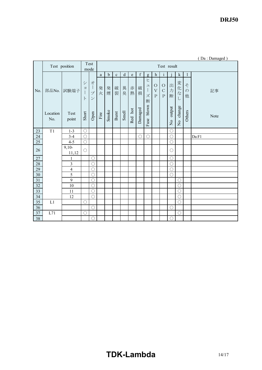*DRJ50* 

|        |                 |                               |                                              |                                                           |                       |             |             |       |         |             |                                                    |                                                   |                                         |                                          |                                     |                         | (Da: Damaged) |
|--------|-----------------|-------------------------------|----------------------------------------------|-----------------------------------------------------------|-----------------------|-------------|-------------|-------|---------|-------------|----------------------------------------------------|---------------------------------------------------|-----------------------------------------|------------------------------------------|-------------------------------------|-------------------------|---------------|
|        |                 | Test<br>Test position<br>mode |                                              |                                                           | Test result           |             |             |       |         |             |                                                    |                                                   |                                         |                                          |                                     |                         |               |
|        |                 |                               |                                              |                                                           | a                     | $\mathbf b$ | $\mathbf c$ | d     | e       | $\mathbf f$ | g                                                  | h                                                 | $\mathbf{i}$                            |                                          | k                                   | 1                       |               |
| No.    | 部品No.           | 試験端子                          | $\ddot{\checkmark}$<br>$\exists$<br>$\vdash$ | 才<br>$\overline{\phantom{a}}$<br>プ<br>$\boldsymbol{\vee}$ | 発<br>火                | 発<br>煙      | 破<br>裂      | 異臭    | 赤<br>熱  | 破<br>損      | ヒ<br>$\mathrel{\sqcup}$<br>$\mathcal{I}$<br>ズ<br>断 | $\circ$<br>$\overline{\mathbf{V}}$<br>$\mathbf P$ | $\circ$<br>$\mathcal{C}$<br>$\mathbf P$ | 出<br>力<br>断                              | 変化<br>$\vec{z}$<br>$\cup$           | そ<br>$\mathcal{D}$<br>他 | 記事            |
|        | Location<br>No. | Test<br>point                 | Short                                        | Open                                                      | $\operatorname{Fire}$ | Smoke       | Burst       | Smell | Red hot | Damaged     | blown<br>Fuse                                      |                                                   |                                         | output<br>$\mathop{\mathsf{S}}\nolimits$ | change<br>$\rm \stackrel{\circ}{Z}$ | Others                  | Note          |
| 23     | T1              | $1 - 3$                       | $\bigcirc$                                   |                                                           |                       |             |             |       |         |             |                                                    |                                                   |                                         | $\bigcirc$                               |                                     |                         |               |
| 24     |                 | $3 - 4$                       | $\bigcirc$                                   |                                                           |                       |             |             |       |         | $\bigcirc$  | $\bigcirc$                                         |                                                   |                                         | $\bigcirc$                               |                                     |                         | Da:F1         |
| $25\,$ |                 | $4 - 5$                       | $\bigcirc$                                   |                                                           |                       |             |             |       |         |             |                                                    |                                                   |                                         | $\bigcirc$                               |                                     |                         |               |
| 26     |                 | $9,10-$<br>11,12              | $\bigcirc$                                   |                                                           |                       |             |             |       |         |             |                                                    |                                                   |                                         | $\bigcirc$                               |                                     |                         |               |
| $27\,$ |                 | 1                             |                                              | $\bigcirc$                                                |                       |             |             |       |         |             |                                                    |                                                   |                                         | $\bigcirc$                               |                                     |                         |               |
| 28     |                 | $\overline{3}$                |                                              | $\bigcirc$                                                |                       |             |             |       |         |             |                                                    |                                                   |                                         | $\bigcirc$                               |                                     |                         |               |
| 29     |                 | $\overline{4}$                |                                              | $\bigcirc$                                                |                       |             |             |       |         |             |                                                    |                                                   |                                         | $\bigcirc$                               |                                     |                         |               |
| $30\,$ |                 | 5                             |                                              | $\circ$                                                   |                       |             |             |       |         |             |                                                    |                                                   |                                         | $\bigcirc$                               |                                     |                         |               |
| $31\,$ |                 | 9                             |                                              | $\bigcirc$                                                |                       |             |             |       |         |             |                                                    |                                                   |                                         |                                          | $\bigcirc$                          |                         |               |
| $32\,$ |                 | 10                            |                                              | $\bigcirc$                                                |                       |             |             |       |         |             |                                                    |                                                   |                                         |                                          | $\bigcirc$                          |                         |               |
| 33     |                 | 11                            |                                              | $\bigcirc$                                                |                       |             |             |       |         |             |                                                    |                                                   |                                         |                                          | $\bigcirc$                          |                         |               |
| $34\,$ |                 | 12                            |                                              | $\bigcirc$                                                |                       |             |             |       |         |             |                                                    |                                                   |                                         |                                          | $\bigcirc$                          |                         |               |
| 35     | L1              |                               | $\bigcirc$                                   |                                                           |                       |             |             |       |         |             |                                                    |                                                   |                                         |                                          | $\bigcirc$                          |                         |               |
| 36     |                 |                               |                                              | $\bigcirc$                                                |                       |             |             |       |         |             |                                                    |                                                   |                                         | $\bigcirc$                               |                                     |                         |               |
| $37\,$ | L71             |                               | $\bigcirc$                                   |                                                           |                       |             |             |       |         |             |                                                    |                                                   |                                         |                                          | $\bigcirc$                          |                         |               |
| 38     |                 |                               |                                              | $\bigcirc$                                                |                       |             |             |       |         |             |                                                    |                                                   |                                         | $\bigcirc$                               |                                     |                         |               |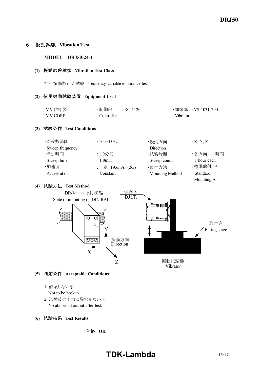#### 6.振動試験 **Vibration Test**

#### **MODEL** : DRJ50-24-1

#### **(1)** 振動試験種類 **Vibration Test Class**

掃引振動数耐久試験 Frequency variable endurance test

#### **(2)** 使用振動試験装置 **Equipment Used**

| IMV $($ 株)製 | ・制御部  : RC-1120 |          | ・加振部 :VS-1031-200 |
|-------------|-----------------|----------|-------------------|
| IMV CORP    | Controller      | Vibrator |                   |

#### **(3)** 試験条件 **Test Conditions**

| ·周波数範囲          | : $10\sim$ 55Hz                          | ・振動方向           | X, Y, Z     |
|-----------------|------------------------------------------|-----------------|-------------|
| Sweep frequency |                                          | Direction       |             |
| ・掃引時間           | :1.0分間                                   | ・試験時間           | : 各方向共 1時間  |
| Sweep time      | 1.0 <sub>min</sub>                       | Sweep count     | 1 hour each |
| ·加速度            | : $-\hat{\pi}$ 19.6m/s <sup>2</sup> (2G) | ·取付方法           | :標準取付 A     |
| Acceleration    | Constant                                 | Mounting Method | Standard    |
|                 |                                          |                 | Mounting A  |

#### **(4)** 試験方法 **Test Method**



- **(5)** 判定条件 **Acceptable Conditions**
	- 1. 破壊しない事
	- Not to be broken.
	- 2. 試験後の出力に異常がない事 No abnormal output after test.

#### **(6)** 試験結果 **Test Results**

合格 **OK**

# **TDK-Lambda** 15/17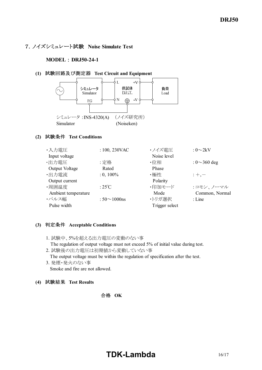## 7.ノイズシミュレート試験 **Noise Simulate Test**

#### **MODEL** : DRJ50-24-1

#### **(1)** 試験回路及び測定器 **Test Circuit and Equipment**



#### **(2)** 試験条件 **Test Conditions**

| $: 100, 230$ VAC    | ・ノイズ電圧         | : $0\sim2kV$       |
|---------------------|----------------|--------------------|
|                     | Noise level    |                    |
| :定格                 | ・位相            | : $0 \sim 360$ deg |
| Rated               | Phase          |                    |
| $: 0, 100\%$        | ・極性            | $: +, -$           |
|                     | Polarity       |                    |
| : $25^{\circ}$ C    | ・印加モード         | :コモン、ノーマル          |
|                     | Mode           | Common, Normal     |
| : $50 \sim 1000$ ns | ・トリガ選択         | $:$ Line           |
|                     | Trigger select |                    |
|                     |                |                    |

#### **(3)** 判定条件 **Acceptable Conditions**

- 1. 試験中、5%を超える出力電圧の変動のない事 The regulation of output voltage must not exceed 5% of initial value during test.
- 2. 試験後の出力電圧は初期値から変動していない事 The output voltage must be within the regulation of specification after the test.
- 3. 発煙・発火のない事 Smoke and fire are not allowed.

**(4)** 試験結果 **Test Results**

#### 合格 **OK**

# **TDK-Lambda** 16/17